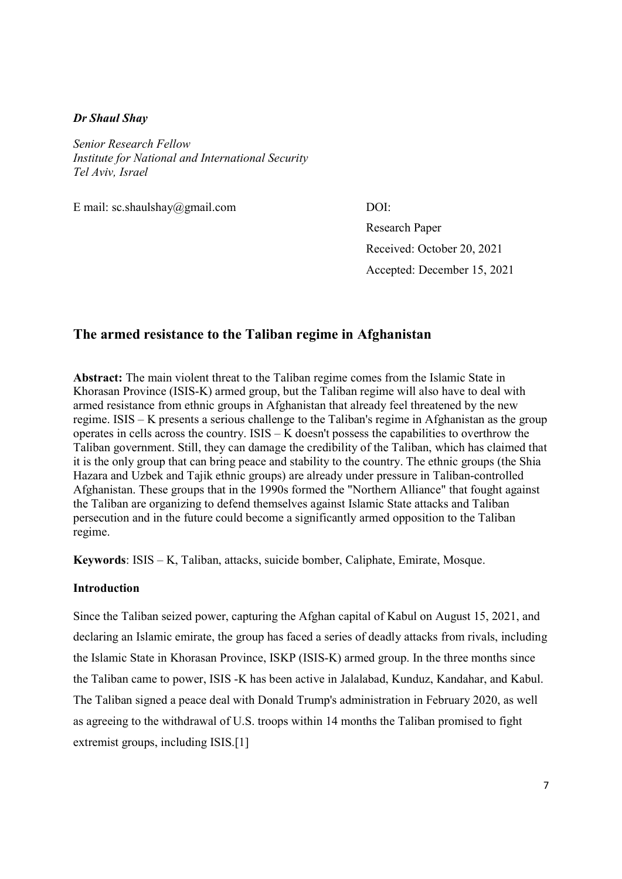## Dr Shaul Shay

Senior Research Fellow Institute for National and International Security Tel Aviv, Israel

E mail: sc.shaulshay@gmail.com DOI:

Research Paper Received: October 20, 2021 Accepted: December 15, 2021

## The armed resistance to the Taliban regime in Afghanistan

Abstract: The main violent threat to the Taliban regime comes from the Islamic State in Khorasan Province (ISIS-K) armed group, but the Taliban regime will also have to deal with armed resistance from ethnic groups in Afghanistan that already feel threatened by the new regime. ISIS – K presents a serious challenge to the Taliban's regime in Afghanistan as the group operates in cells across the country. ISIS – K doesn't possess the capabilities to overthrow the Taliban government. Still, they can damage the credibility of the Taliban, which has claimed that it is the only group that can bring peace and stability to the country. The ethnic groups (the Shia Hazara and Uzbek and Tajik ethnic groups) are already under pressure in Taliban-controlled Afghanistan. These groups that in the 1990s formed the "Northern Alliance" that fought against the Taliban are organizing to defend themselves against Islamic State attacks and Taliban persecution and in the future could become a significantly armed opposition to the Taliban regime.

Keywords: ISIS – K, Taliban, attacks, suicide bomber, Caliphate, Emirate, Mosque.

## Introduction

Since the Taliban seized power, capturing the Afghan capital of Kabul on August 15, 2021, and declaring an Islamic emirate, the group has faced a series of deadly attacks from rivals, including the Islamic State in Khorasan Province, ISKP (ISIS-K) armed group. In the three months since the Taliban came to power, ISIS -K has been active in Jalalabad, Kunduz, Kandahar, and Kabul. The Taliban signed a peace deal with Donald Trump's administration in February 2020, as well as agreeing to the withdrawal of U.S. troops within 14 months the Taliban promised to fight extremist groups, including ISIS.[1]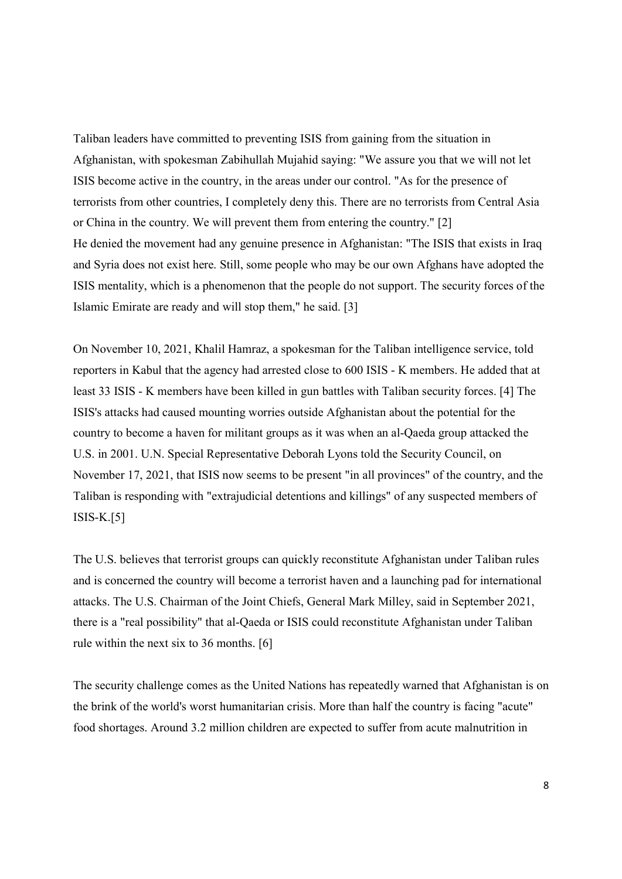Taliban leaders have committed to preventing ISIS from gaining from the situation in Afghanistan, with spokesman Zabihullah Mujahid saying: "We assure you that we will not let ISIS become active in the country, in the areas under our control. "As for the presence of terrorists from other countries, I completely deny this. There are no terrorists from Central Asia or China in the country. We will prevent them from entering the country." [2] He denied the movement had any genuine presence in Afghanistan: "The ISIS that exists in Iraq and Syria does not exist here. Still, some people who may be our own Afghans have adopted the ISIS mentality, which is a phenomenon that the people do not support. The security forces of the Islamic Emirate are ready and will stop them," he said. [3]

On November 10, 2021, Khalil Hamraz, a spokesman for the Taliban intelligence service, told reporters in Kabul that the agency had arrested close to 600 ISIS - K members. He added that at least 33 ISIS - K members have been killed in gun battles with Taliban security forces. [4] The ISIS's attacks had caused mounting worries outside Afghanistan about the potential for the country to become a haven for militant groups as it was when an al-Qaeda group attacked the U.S. in 2001. U.N. Special Representative Deborah Lyons told the Security Council, on November 17, 2021, that ISIS now seems to be present "in all provinces" of the country, and the Taliban is responding with "extrajudicial detentions and killings" of any suspected members of ISIS-K.[5]

The U.S. believes that terrorist groups can quickly reconstitute Afghanistan under Taliban rules and is concerned the country will become a terrorist haven and a launching pad for international attacks. The U.S. Chairman of the Joint Chiefs, General Mark Milley, said in September 2021, there is a "real possibility" that al-Qaeda or ISIS could reconstitute Afghanistan under Taliban rule within the next six to 36 months. [6]

The security challenge comes as the United Nations has repeatedly warned that Afghanistan is on the brink of the world's worst humanitarian crisis. More than half the country is facing "acute" food shortages. Around 3.2 million children are expected to suffer from acute malnutrition in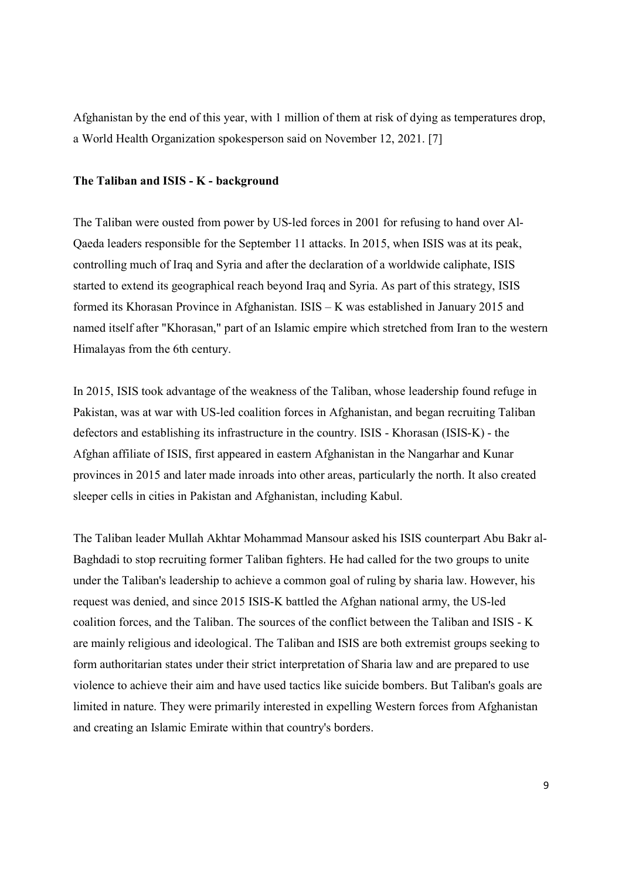Afghanistan by the end of this year, with 1 million of them at risk of dying as temperatures drop, a World Health Organization spokesperson said on November 12, 2021. [7]

## The Taliban and ISIS - K - background

The Taliban were ousted from power by US-led forces in 2001 for refusing to hand over Al-Qaeda leaders responsible for the September 11 attacks. In 2015, when ISIS was at its peak, controlling much of Iraq and Syria and after the declaration of a worldwide caliphate, ISIS started to extend its geographical reach beyond Iraq and Syria. As part of this strategy, ISIS formed its Khorasan Province in Afghanistan. ISIS – K was established in January 2015 and named itself after "Khorasan," part of an Islamic empire which stretched from Iran to the western Himalayas from the 6th century.

In 2015, ISIS took advantage of the weakness of the Taliban, whose leadership found refuge in Pakistan, was at war with US-led coalition forces in Afghanistan, and began recruiting Taliban defectors and establishing its infrastructure in the country. ISIS - Khorasan (ISIS-K) - the Afghan affiliate of ISIS, first appeared in eastern Afghanistan in the Nangarhar and Kunar provinces in 2015 and later made inroads into other areas, particularly the north. It also created sleeper cells in cities in Pakistan and Afghanistan, including Kabul.

The Taliban leader Mullah Akhtar Mohammad Mansour asked his ISIS counterpart Abu Bakr al-Baghdadi to stop recruiting former Taliban fighters. He had called for the two groups to unite under the Taliban's leadership to achieve a common goal of ruling by sharia law. However, his request was denied, and since 2015 ISIS-K battled the Afghan national army, the US-led coalition forces, and the Taliban. The sources of the conflict between the Taliban and ISIS - K are mainly religious and ideological. The Taliban and ISIS are both extremist groups seeking to form authoritarian states under their strict interpretation of Sharia law and are prepared to use violence to achieve their aim and have used tactics like suicide bombers. But Taliban's goals are limited in nature. They were primarily interested in expelling Western forces from Afghanistan and creating an Islamic Emirate within that country's borders.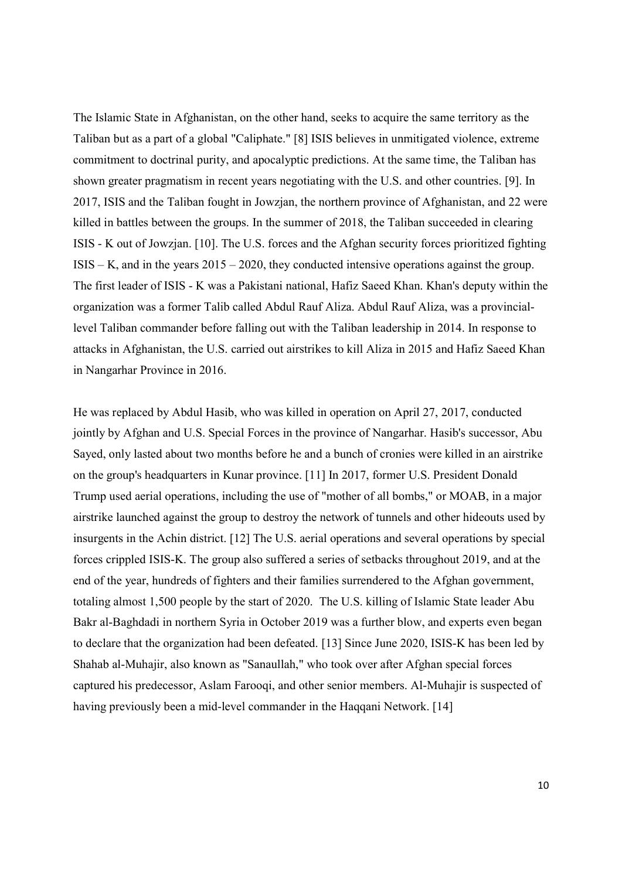The Islamic State in Afghanistan, on the other hand, seeks to acquire the same territory as the Taliban but as a part of a global "Caliphate." [8] ISIS believes in unmitigated violence, extreme commitment to doctrinal purity, and apocalyptic predictions. At the same time, the Taliban has shown greater pragmatism in recent years negotiating with the U.S. and other countries. [9]. In 2017, ISIS and the Taliban fought in Jowzjan, the northern province of Afghanistan, and 22 were killed in battles between the groups. In the summer of 2018, the Taliban succeeded in clearing ISIS - K out of Jowzjan. [10]. The U.S. forces and the Afghan security forces prioritized fighting ISIS – K, and in the years 2015 – 2020, they conducted intensive operations against the group. The first leader of ISIS - K was a Pakistani national, Hafiz Saeed Khan. Khan's deputy within the organization was a former Talib called Abdul Rauf Aliza. Abdul Rauf Aliza, was a provinciallevel Taliban commander before falling out with the Taliban leadership in 2014. In response to attacks in Afghanistan, the U.S. carried out airstrikes to kill Aliza in 2015 and Hafiz Saeed Khan in Nangarhar Province in 2016.

He was replaced by Abdul Hasib, who was killed in operation on April 27, 2017, conducted jointly by Afghan and U.S. Special Forces in the province of Nangarhar. Hasib's successor, Abu Sayed, only lasted about two months before he and a bunch of cronies were killed in an airstrike on the group's headquarters in Kunar province. [11] In 2017, former U.S. President Donald Trump used aerial operations, including the use of "mother of all bombs," or MOAB, in a major airstrike launched against the group to destroy the network of tunnels and other hideouts used by insurgents in the Achin district. [12] The U.S. aerial operations and several operations by special forces crippled ISIS-K. The group also suffered a series of setbacks throughout 2019, and at the end of the year, hundreds of fighters and their families surrendered to the Afghan government, totaling almost 1,500 people by the start of 2020. The U.S. killing of Islamic State leader Abu Bakr al-Baghdadi in northern Syria in October 2019 was a further blow, and experts even began to declare that the organization had been defeated. [13] Since June 2020, ISIS-K has been led by Shahab al-Muhajir, also known as "Sanaullah," who took over after Afghan special forces captured his predecessor, Aslam Farooqi, and other senior members. Al-Muhajir is suspected of having previously been a mid-level commander in the Haqqani Network. [14]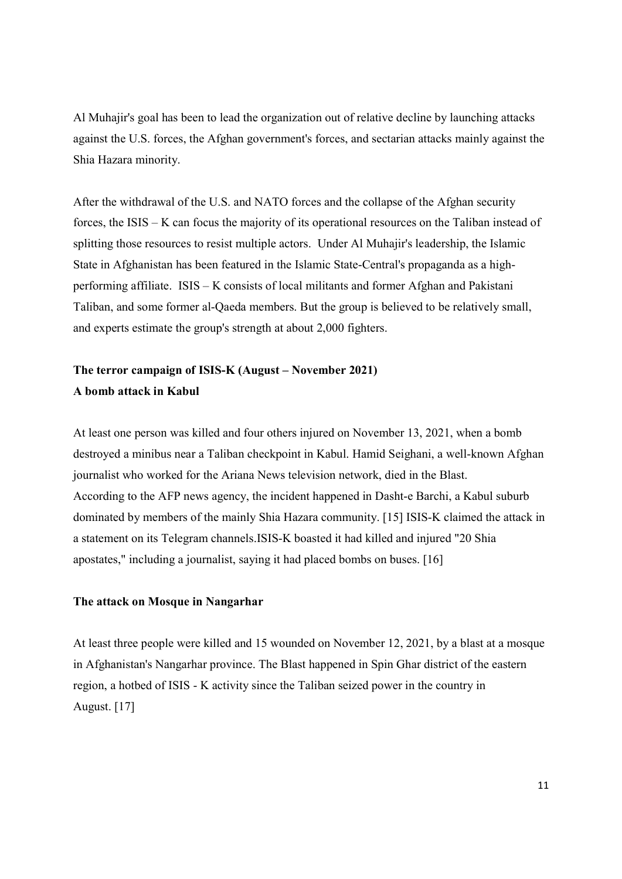Al Muhajir's goal has been to lead the organization out of relative decline by launching attacks against the U.S. forces, the Afghan government's forces, and sectarian attacks mainly against the Shia Hazara minority.

After the withdrawal of the U.S. and NATO forces and the collapse of the Afghan security forces, the ISIS – K can focus the majority of its operational resources on the Taliban instead of splitting those resources to resist multiple actors. Under Al Muhajir's leadership, the Islamic State in Afghanistan has been featured in the Islamic State-Central's propaganda as a highperforming affiliate. ISIS – K consists of local militants and former Afghan and Pakistani Taliban, and some former al-Qaeda members. But the group is believed to be relatively small, and experts estimate the group's strength at about 2,000 fighters.

# The terror campaign of ISIS-K (August – November 2021) A bomb attack in Kabul

At least one person was killed and four others injured on November 13, 2021, when a bomb destroyed a minibus near a Taliban checkpoint in Kabul. Hamid Seighani, a well-known Afghan journalist who worked for the Ariana News television network, died in the Blast. According to the AFP news agency, the incident happened in Dasht-e Barchi, a Kabul suburb dominated by members of the mainly Shia Hazara community. [15] ISIS-K claimed the attack in a statement on its Telegram channels.ISIS-K boasted it had killed and injured "20 Shia apostates," including a journalist, saying it had placed bombs on buses. [16]

### The attack on Mosque in Nangarhar

At least three people were killed and 15 wounded on November 12, 2021, by a blast at a mosque in Afghanistan's Nangarhar province. The Blast happened in Spin Ghar district of the eastern region, a hotbed of ISIS - K activity since the Taliban seized power in the country in August. [17]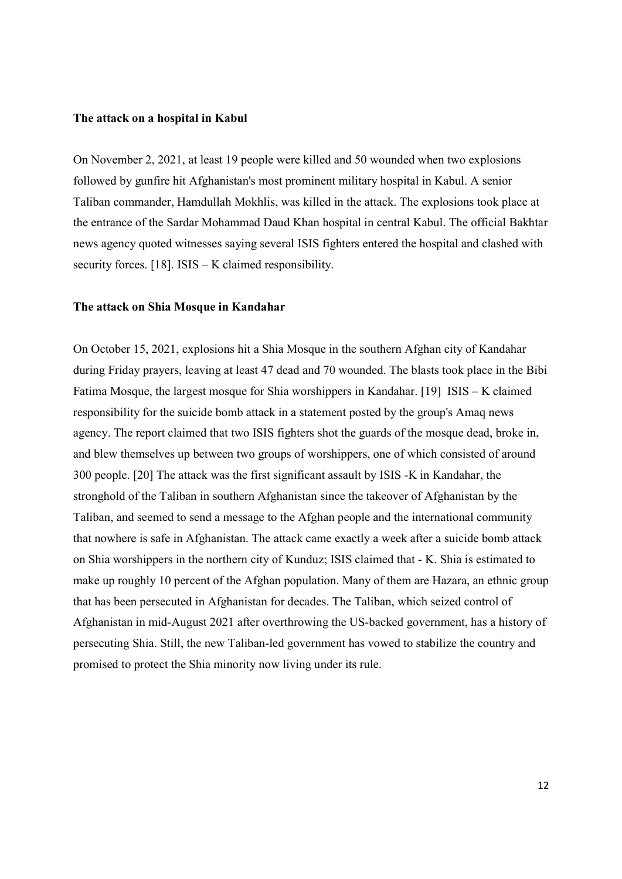### The attack on a hospital in Kabul

On November 2, 2021, at least 19 people were killed and 50 wounded when two explosions followed by gunfire hit Afghanistan's most prominent military hospital in Kabul. A senior Taliban commander, Hamdullah Mokhlis, was killed in the attack. The explosions took place at the entrance of the Sardar Mohammad Daud Khan hospital in central Kabul. The official Bakhtar news agency quoted witnesses saying several ISIS fighters entered the hospital and clashed with security forces. [18]. ISIS – K claimed responsibility.

### The attack on Shia Mosque in Kandahar

On October 15, 2021, explosions hit a Shia Mosque in the southern Afghan city of Kandahar during Friday prayers, leaving at least 47 dead and 70 wounded. The blasts took place in the Bibi Fatima Mosque, the largest mosque for Shia worshippers in Kandahar. [19] ISIS – K claimed responsibility for the suicide bomb attack in a statement posted by the group's Amaq news agency. The report claimed that two ISIS fighters shot the guards of the mosque dead, broke in, and blew themselves up between two groups of worshippers, one of which consisted of around 300 people. [20] The attack was the first significant assault by ISIS -K in Kandahar, the stronghold of the Taliban in southern Afghanistan since the takeover of Afghanistan by the Taliban, and seemed to send a message to the Afghan people and the international community that nowhere is safe in Afghanistan. The attack came exactly a week after a suicide bomb attack on Shia worshippers in the northern city of Kunduz; ISIS claimed that - K. Shia is estimated to make up roughly 10 percent of the Afghan population. Many of them are Hazara, an ethnic group that has been persecuted in Afghanistan for decades. The Taliban, which seized control of Afghanistan in mid-August 2021 after overthrowing the US-backed government, has a history of persecuting Shia. Still, the new Taliban-led government has vowed to stabilize the country and promised to protect the Shia minority now living under its rule.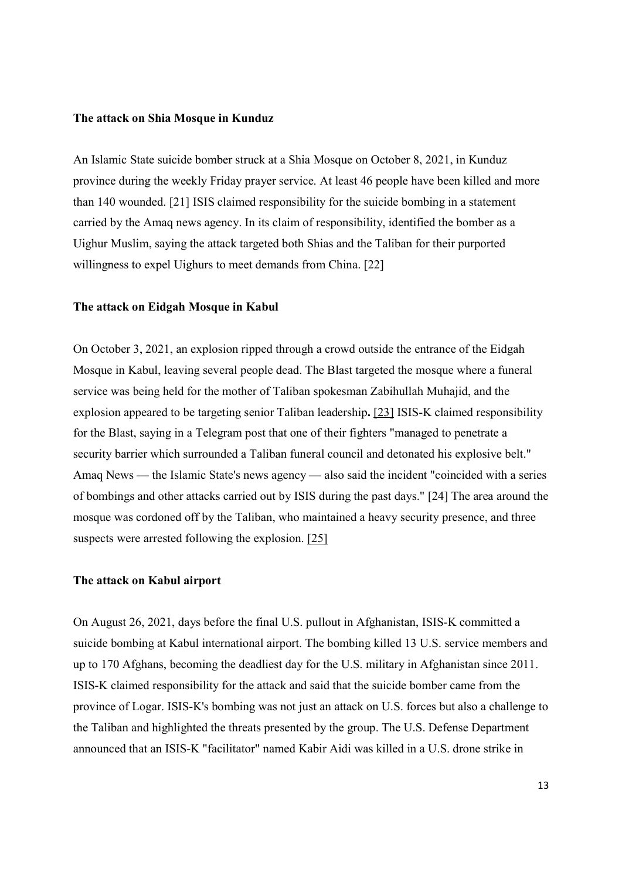### The attack on Shia Mosque in Kunduz

An Islamic State suicide bomber struck at a Shia Mosque on October 8, 2021, in Kunduz province during the weekly Friday prayer service. At least 46 people have been killed and more than 140 wounded. [21] ISIS claimed responsibility for the suicide bombing in a statement carried by the Amaq news agency. In its claim of responsibility, identified the bomber as a Uighur Muslim, saying the attack targeted both Shias and the Taliban for their purported willingness to expel Uighurs to meet demands from China. [22]

### The attack on Eidgah Mosque in Kabul

On October 3, 2021, an explosion ripped through a crowd outside the entrance of the Eidgah Mosque in Kabul, leaving several people dead. The Blast targeted the mosque where a funeral service was being held for the mother of Taliban spokesman Zabihullah Muhajid, and the explosion appeared to be targeting senior Taliban leadership. [23] ISIS-K claimed responsibility for the Blast, saying in a Telegram post that one of their fighters "managed to penetrate a security barrier which surrounded a Taliban funeral council and detonated his explosive belt." Amaq News — the Islamic State's news agency — also said the incident "coincided with a series of bombings and other attacks carried out by ISIS during the past days." [24] The area around the mosque was cordoned off by the Taliban, who maintained a heavy security presence, and three suspects were arrested following the explosion. [25]

### The attack on Kabul airport

On August 26, 2021, days before the final U.S. pullout in Afghanistan, ISIS-K committed a suicide bombing at Kabul international airport. The bombing killed 13 U.S. service members and up to 170 Afghans, becoming the deadliest day for the U.S. military in Afghanistan since 2011. ISIS-K claimed responsibility for the attack and said that the suicide bomber came from the province of Logar. ISIS-K's bombing was not just an attack on U.S. forces but also a challenge to the Taliban and highlighted the threats presented by the group. The U.S. Defense Department announced that an ISIS-K "facilitator" named Kabir Aidi was killed in a U.S. drone strike in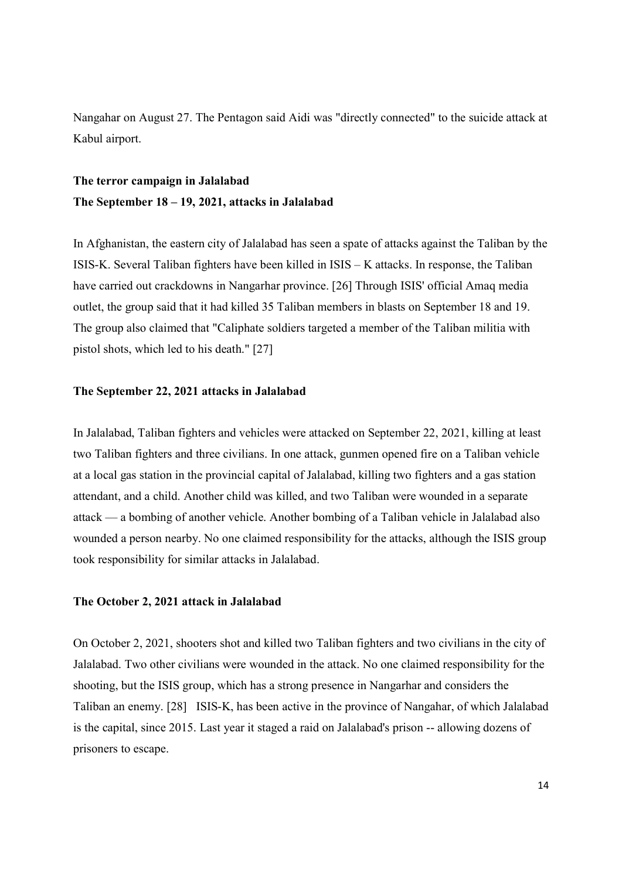Nangahar on August 27. The Pentagon said Aidi was "directly connected" to the suicide attack at Kabul airport.

# The terror campaign in Jalalabad The September 18 – 19, 2021, attacks in Jalalabad

In Afghanistan, the eastern city of Jalalabad has seen a spate of attacks against the Taliban by the ISIS-K. Several Taliban fighters have been killed in ISIS – K attacks. In response, the Taliban have carried out crackdowns in Nangarhar province. [26] Through ISIS' official Amaq media outlet, the group said that it had killed 35 Taliban members in blasts on September 18 and 19. The group also claimed that "Caliphate soldiers targeted a member of the Taliban militia with pistol shots, which led to his death." [27]

### The September 22, 2021 attacks in Jalalabad

In Jalalabad, Taliban fighters and vehicles were attacked on September 22, 2021, killing at least two Taliban fighters and three civilians. In one attack, gunmen opened fire on a Taliban vehicle at a local gas station in the provincial capital of Jalalabad, killing two fighters and a gas station attendant, and a child. Another child was killed, and two Taliban were wounded in a separate attack — a bombing of another vehicle. Another bombing of a Taliban vehicle in Jalalabad also wounded a person nearby. No one claimed responsibility for the attacks, although the ISIS group took responsibility for similar attacks in Jalalabad.

### The October 2, 2021 attack in Jalalabad

On October 2, 2021, shooters shot and killed two Taliban fighters and two civilians in the city of Jalalabad. Two other civilians were wounded in the attack. No one claimed responsibility for the shooting, but the ISIS group, which has a strong presence in Nangarhar and considers the Taliban an enemy. [28] ISIS-K, has been active in the province of Nangahar, of which Jalalabad is the capital, since 2015. Last year it staged a raid on Jalalabad's prison -- allowing dozens of prisoners to escape.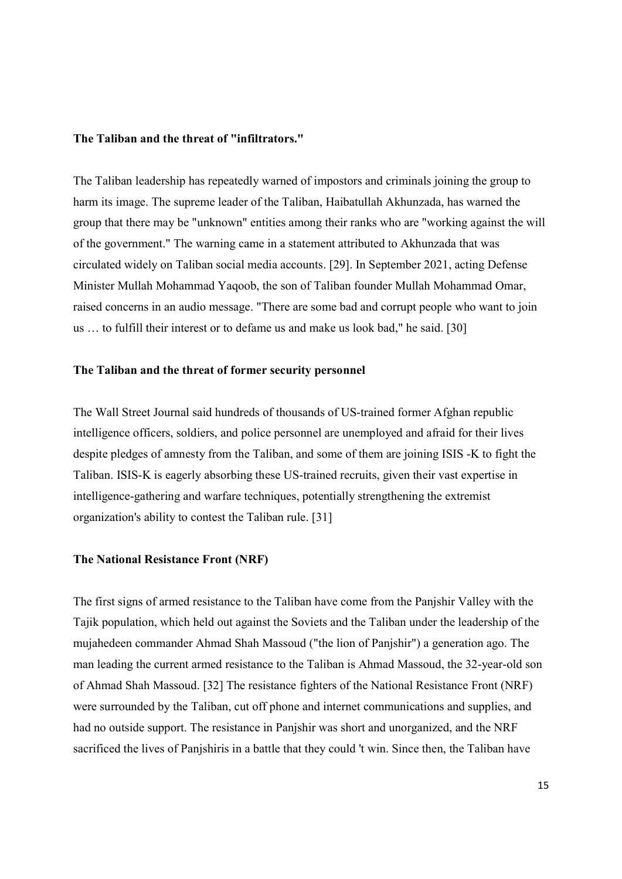### The Taliban and the threat of "infiltrators."

The Taliban leadership has repeatedly warned of impostors and criminals joining the group to harm its image. The supreme leader of the Taliban, Haibatullah Akhunzada, has warned the group that there may be "unknown" entities among their ranks who are "working against the will of the government." The warning came in a statement attributed to Akhunzada that was circulated widely on Taliban social media accounts. [29]. In September 2021, acting Defense Minister Mullah Mohammad Yaqoob, the son of Taliban founder Mullah Mohammad Omar, raised concerns in an audio message. "There are some bad and corrupt people who want to join us … to fulfill their interest or to defame us and make us look bad," he said. [30]

### The Taliban and the threat of former security personnel

The Wall Street Journal said hundreds of thousands of US-trained former Afghan republic intelligence officers, soldiers, and police personnel are unemployed and afraid for their lives despite pledges of amnesty from the Taliban, and some of them are joining ISIS -K to fight the Taliban. ISIS-K is eagerly absorbing these US-trained recruits, given their vast expertise in intelligence-gathering and warfare techniques, potentially strengthening the extremist organization's ability to contest the Taliban rule. [31]

### The National Resistance Front (NRF)

The first signs of armed resistance to the Taliban have come from the Panjshir Valley with the Tajik population, which held out against the Soviets and the Taliban under the leadership of the mujahedeen commander Ahmad Shah Massoud ("the lion of Panjshir") a generation ago. The man leading the current armed resistance to the Taliban is Ahmad Massoud, the 32-year-old son of Ahmad Shah Massoud. [32] The resistance fighters of the National Resistance Front (NRF) were surrounded by the Taliban, cut off phone and internet communications and supplies, and had no outside support. The resistance in Panjshir was short and unorganized, and the NRF sacrificed the lives of Panjshiris in a battle that they could 't win. Since then, the Taliban have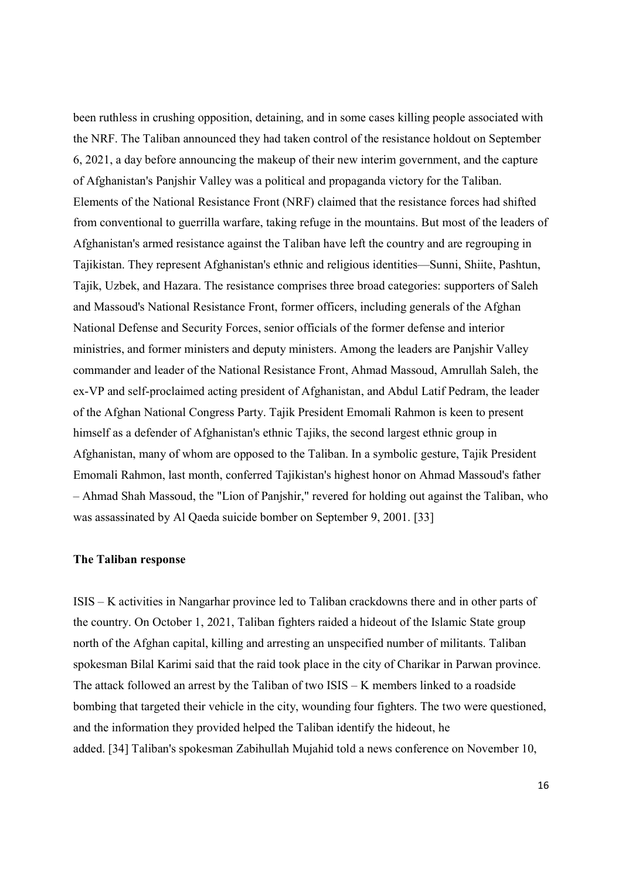been ruthless in crushing opposition, detaining, and in some cases killing people associated with the NRF. The Taliban announced they had taken control of the resistance holdout on September 6, 2021, a day before announcing the makeup of their new interim government, and the capture of Afghanistan's Panjshir Valley was a political and propaganda victory for the Taliban. Elements of the National Resistance Front (NRF) claimed that the resistance forces had shifted from conventional to guerrilla warfare, taking refuge in the mountains. But most of the leaders of Afghanistan's armed resistance against the Taliban have left the country and are regrouping in Tajikistan. They represent Afghanistan's ethnic and religious identities—Sunni, Shiite, Pashtun, Tajik, Uzbek, and Hazara. The resistance comprises three broad categories: supporters of Saleh and Massoud's National Resistance Front, former officers, including generals of the Afghan National Defense and Security Forces, senior officials of the former defense and interior ministries, and former ministers and deputy ministers. Among the leaders are Panjshir Valley commander and leader of the National Resistance Front, Ahmad Massoud, Amrullah Saleh, the ex-VP and self-proclaimed acting president of Afghanistan, and Abdul Latif Pedram, the leader of the Afghan National Congress Party. Tajik President Emomali Rahmon is keen to present himself as a defender of Afghanistan's ethnic Tajiks, the second largest ethnic group in Afghanistan, many of whom are opposed to the Taliban. In a symbolic gesture, Tajik President Emomali Rahmon, last month, conferred Tajikistan's highest honor on Ahmad Massoud's father – Ahmad Shah Massoud, the "Lion of Panjshir," revered for holding out against the Taliban, who was assassinated by Al Qaeda suicide bomber on September 9, 2001. [33]

### The Taliban response

ISIS – K activities in Nangarhar province led to Taliban crackdowns there and in other parts of the country. On October 1, 2021, Taliban fighters raided a hideout of the Islamic State group north of the Afghan capital, killing and arresting an unspecified number of militants. Taliban spokesman Bilal Karimi said that the raid took place in the city of Charikar in Parwan province. The attack followed an arrest by the Taliban of two ISIS – K members linked to a roadside bombing that targeted their vehicle in the city, wounding four fighters. The two were questioned, and the information they provided helped the Taliban identify the hideout, he added. [34] Taliban's spokesman Zabihullah Mujahid told a news conference on November 10,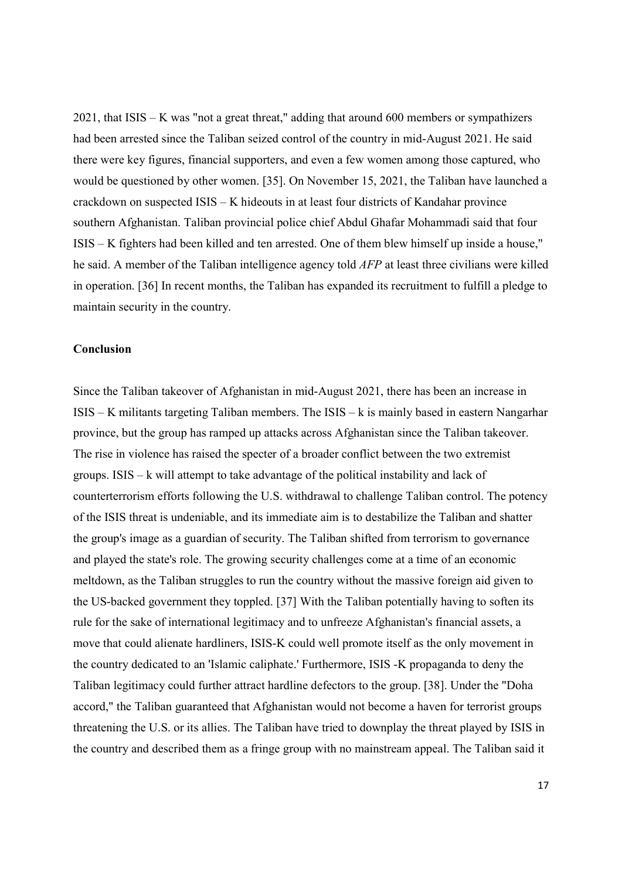2021, that ISIS – K was "not a great threat," adding that around 600 members or sympathizers had been arrested since the Taliban seized control of the country in mid-August 2021. He said there were key figures, financial supporters, and even a few women among those captured, who would be questioned by other women. [35]. On November 15, 2021, the Taliban have launched a crackdown on suspected ISIS – K hideouts in at least four districts of Kandahar province southern Afghanistan. Taliban provincial police chief Abdul Ghafar Mohammadi said that four ISIS – K fighters had been killed and ten arrested. One of them blew himself up inside a house," he said. A member of the Taliban intelligence agency told AFP at least three civilians were killed in operation. [36] In recent months, the Taliban has expanded its recruitment to fulfill a pledge to maintain security in the country.

### Conclusion

Since the Taliban takeover of Afghanistan in mid-August 2021, there has been an increase in ISIS – K militants targeting Taliban members. The ISIS – k is mainly based in eastern Nangarhar province, but the group has ramped up attacks across Afghanistan since the Taliban takeover. The rise in violence has raised the specter of a broader conflict between the two extremist groups. ISIS – k will attempt to take advantage of the political instability and lack of counterterrorism efforts following the U.S. withdrawal to challenge Taliban control. The potency of the ISIS threat is undeniable, and its immediate aim is to destabilize the Taliban and shatter the group's image as a guardian of security. The Taliban shifted from terrorism to governance and played the state's role. The growing security challenges come at a time of an economic meltdown, as the Taliban struggles to run the country without the massive foreign aid given to the US-backed government they toppled. [37] With the Taliban potentially having to soften its rule for the sake of international legitimacy and to unfreeze Afghanistan's financial assets, a move that could alienate hardliners, ISIS-K could well promote itself as the only movement in the country dedicated to an 'Islamic caliphate.' Furthermore, ISIS -K propaganda to deny the Taliban legitimacy could further attract hardline defectors to the group. [38]. Under the "Doha accord," the Taliban guaranteed that Afghanistan would not become a haven for terrorist groups threatening the U.S. or its allies. The Taliban have tried to downplay the threat played by ISIS in the country and described them as a fringe group with no mainstream appeal. The Taliban said it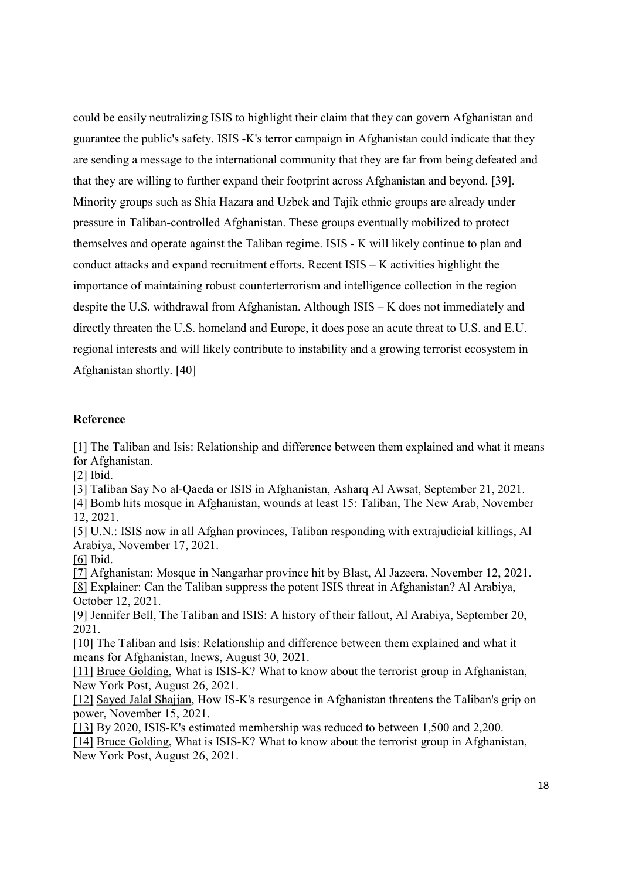could be easily neutralizing ISIS to highlight their claim that they can govern Afghanistan and guarantee the public's safety. ISIS -K's terror campaign in Afghanistan could indicate that they are sending a message to the international community that they are far from being defeated and that they are willing to further expand their footprint across Afghanistan and beyond. [39]. Minority groups such as Shia Hazara and Uzbek and Tajik ethnic groups are already under pressure in Taliban-controlled Afghanistan. These groups eventually mobilized to protect themselves and operate against the Taliban regime. ISIS - K will likely continue to plan and conduct attacks and expand recruitment efforts. Recent ISIS – K activities highlight the importance of maintaining robust counterterrorism and intelligence collection in the region despite the U.S. withdrawal from Afghanistan. Although ISIS – K does not immediately and directly threaten the U.S. homeland and Europe, it does pose an acute threat to U.S. and E.U. regional interests and will likely contribute to instability and a growing terrorist ecosystem in Afghanistan shortly. [40]

## Reference

[1] The Taliban and Isis: Relationship and difference between them explained and what it means for Afghanistan.

[2] Ibid.

[3] Taliban Say No al-Qaeda or ISIS in Afghanistan, Asharq Al Awsat, September 21, 2021.

[4] Bomb hits mosque in Afghanistan, wounds at least 15: Taliban, The New Arab, November 12, 2021.

[5] U.N.: ISIS now in all Afghan provinces, Taliban responding with extrajudicial killings, Al Arabiya, November 17, 2021.

[6] Ibid.

[7] Afghanistan: Mosque in Nangarhar province hit by Blast, Al Jazeera, November 12, 2021. [8] Explainer: Can the Taliban suppress the potent ISIS threat in Afghanistan? Al Arabiya, October 12, 2021.

[9] Jennifer Bell, The Taliban and ISIS: A history of their fallout, Al Arabiya, September 20, 2021.

[10] The Taliban and Isis: Relationship and difference between them explained and what it means for Afghanistan, Inews, August 30, 2021.

[11] Bruce Golding, What is ISIS-K? What to know about the terrorist group in Afghanistan, New York Post, August 26, 2021.

[12] Sayed Jalal Shajjan, How IS-K's resurgence in Afghanistan threatens the Taliban's grip on power, November 15, 2021.

[13] By 2020, ISIS-K's estimated membership was reduced to between 1,500 and 2,200. [14] Bruce Golding, What is ISIS-K? What to know about the terrorist group in Afghanistan, New York Post, August 26, 2021.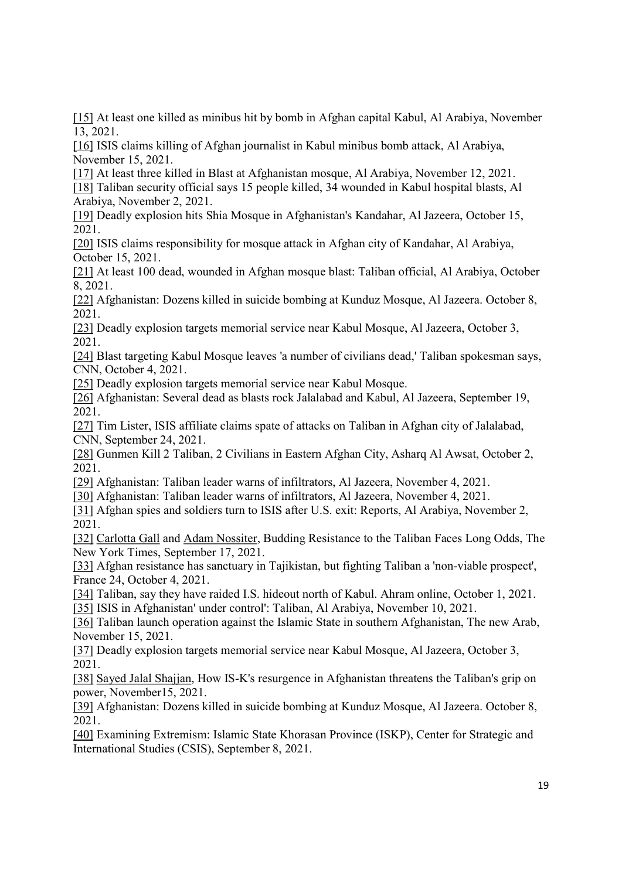[15] At least one killed as minibus hit by bomb in Afghan capital Kabul, Al Arabiya, November 13, 2021.

[16] ISIS claims killing of Afghan journalist in Kabul minibus bomb attack, Al Arabiya, November 15, 2021.

[17] At least three killed in Blast at Afghanistan mosque, Al Arabiya, November 12, 2021.

[18] Taliban security official says 15 people killed, 34 wounded in Kabul hospital blasts, Al Arabiya, November 2, 2021.

[19] Deadly explosion hits Shia Mosque in Afghanistan's Kandahar, Al Jazeera, October 15, 2021.

[20] ISIS claims responsibility for mosque attack in Afghan city of Kandahar, Al Arabiya, October 15, 2021.

[21] At least 100 dead, wounded in Afghan mosque blast: Taliban official, Al Arabiya, October 8, 2021.

[22] Afghanistan: Dozens killed in suicide bombing at Kunduz Mosque, Al Jazeera. October 8, 2021.

[23] Deadly explosion targets memorial service near Kabul Mosque, Al Jazeera, October 3, 2021.

[24] Blast targeting Kabul Mosque leaves 'a number of civilians dead,' Taliban spokesman says, CNN, October 4, 2021.

[25] Deadly explosion targets memorial service near Kabul Mosque.

[26] Afghanistan: Several dead as blasts rock Jalalabad and Kabul, Al Jazeera, September 19, 2021.

[27] Tim Lister, ISIS affiliate claims spate of attacks on Taliban in Afghan city of Jalalabad, CNN, September 24, 2021.

[28] Gunmen Kill 2 Taliban, 2 Civilians in Eastern Afghan City, Asharq Al Awsat, October 2, 2021.

[29] Afghanistan: Taliban leader warns of infiltrators, Al Jazeera, November 4, 2021.

[30] Afghanistan: Taliban leader warns of infiltrators, Al Jazeera, November 4, 2021.

[31] Afghan spies and soldiers turn to ISIS after U.S. exit: Reports, Al Arabiya, November 2, 2021.

[32] Carlotta Gall and Adam Nossiter, Budding Resistance to the Taliban Faces Long Odds, The New York Times, September 17, 2021.

[33] Afghan resistance has sanctuary in Tajikistan, but fighting Taliban a 'non-viable prospect', France 24, October 4, 2021.

[34] Taliban, say they have raided I.S. hideout north of Kabul. Ahram online, October 1, 2021. [35] ISIS in Afghanistan' under control': Taliban, Al Arabiya, November 10, 2021.

[36] Taliban launch operation against the Islamic State in southern Afghanistan, The new Arab, November 15, 2021.

[37] Deadly explosion targets memorial service near Kabul Mosque, Al Jazeera, October 3, 2021.

[38] Sayed Jalal Shajjan, How IS-K's resurgence in Afghanistan threatens the Taliban's grip on power, November15, 2021.

[39] Afghanistan: Dozens killed in suicide bombing at Kunduz Mosque, Al Jazeera. October 8, 2021.

[40] Examining Extremism: Islamic State Khorasan Province (ISKP), Center for Strategic and International Studies (CSIS), September 8, 2021.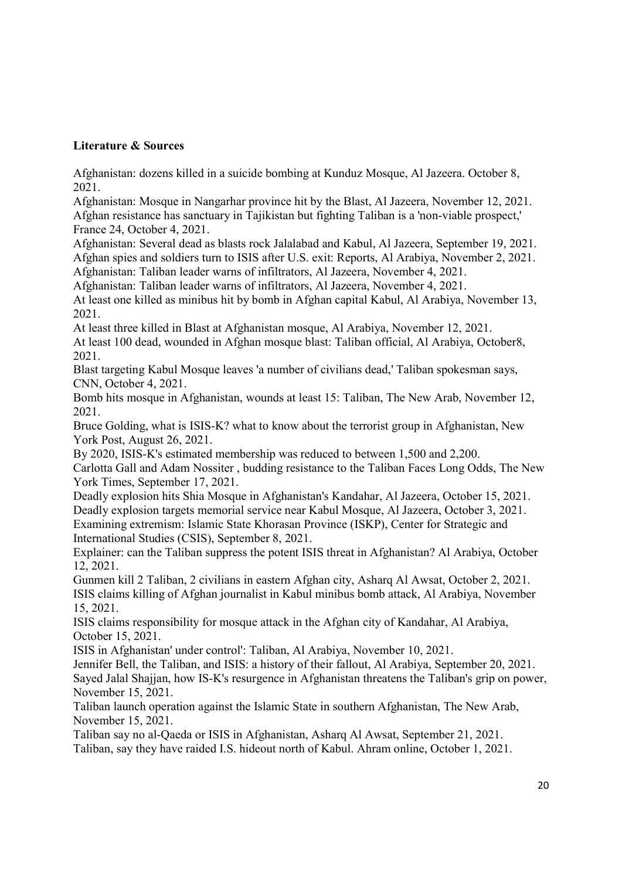## Literature & Sources

Afghanistan: dozens killed in a suicide bombing at Kunduz Mosque, Al Jazeera. October 8, 2021.

Afghanistan: Mosque in Nangarhar province hit by the Blast, Al Jazeera, November 12, 2021. Afghan resistance has sanctuary in Tajikistan but fighting Taliban is a 'non-viable prospect,' France 24, October 4, 2021.

Afghanistan: Several dead as blasts rock Jalalabad and Kabul, Al Jazeera, September 19, 2021. Afghan spies and soldiers turn to ISIS after U.S. exit: Reports, Al Arabiya, November 2, 2021.

Afghanistan: Taliban leader warns of infiltrators, Al Jazeera, November 4, 2021.

Afghanistan: Taliban leader warns of infiltrators, Al Jazeera, November 4, 2021.

At least one killed as minibus hit by bomb in Afghan capital Kabul, Al Arabiya, November 13, 2021.

At least three killed in Blast at Afghanistan mosque, Al Arabiya, November 12, 2021. At least 100 dead, wounded in Afghan mosque blast: Taliban official, Al Arabiya, October8, 2021.

Blast targeting Kabul Mosque leaves 'a number of civilians dead,' Taliban spokesman says, CNN, October 4, 2021.

Bomb hits mosque in Afghanistan, wounds at least 15: Taliban, The New Arab, November 12, 2021.

Bruce Golding, what is ISIS-K? what to know about the terrorist group in Afghanistan, New York Post, August 26, 2021.

By 2020, ISIS-K's estimated membership was reduced to between 1,500 and 2,200.

Carlotta Gall and Adam Nossiter , budding resistance to the Taliban Faces Long Odds, The New York Times, September 17, 2021.

Deadly explosion hits Shia Mosque in Afghanistan's Kandahar, Al Jazeera, October 15, 2021. Deadly explosion targets memorial service near Kabul Mosque, Al Jazeera, October 3, 2021. Examining extremism: Islamic State Khorasan Province (ISKP), Center for Strategic and International Studies (CSIS), September 8, 2021.

Explainer: can the Taliban suppress the potent ISIS threat in Afghanistan? Al Arabiya, October 12, 2021.

Gunmen kill 2 Taliban, 2 civilians in eastern Afghan city, Asharq Al Awsat, October 2, 2021. ISIS claims killing of Afghan journalist in Kabul minibus bomb attack, Al Arabiya, November 15, 2021.

ISIS claims responsibility for mosque attack in the Afghan city of Kandahar, Al Arabiya, October 15, 2021.

ISIS in Afghanistan' under control': Taliban, Al Arabiya, November 10, 2021.

Jennifer Bell, the Taliban, and ISIS: a history of their fallout, Al Arabiya, September 20, 2021. Sayed Jalal Shajjan, how IS-K's resurgence in Afghanistan threatens the Taliban's grip on power, November 15, 2021.

Taliban launch operation against the Islamic State in southern Afghanistan, The New Arab, November 15, 2021.

Taliban say no al-Qaeda or ISIS in Afghanistan, Asharq Al Awsat, September 21, 2021. Taliban, say they have raided I.S. hideout north of Kabul. Ahram online, October 1, 2021.